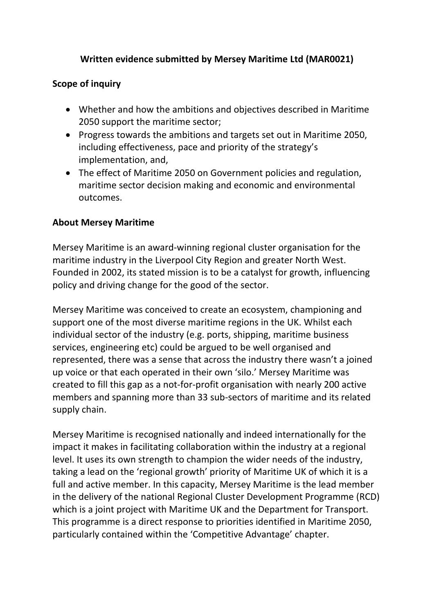## **Written evidence submitted by Mersey Maritime Ltd (MAR0021)**

#### **Scope of inquiry**

- Whether and how the ambitions and objectives described in Maritime 2050 support the maritime sector;
- Progress towards the ambitions and targets set out in Maritime 2050, including effectiveness, pace and priority of the strategy's implementation, and,
- The effect of Maritime 2050 on Government policies and regulation, maritime sector decision making and economic and environmental outcomes.

#### **About Mersey Maritime**

Mersey Maritime is an award-winning regional cluster organisation for the maritime industry in the Liverpool City Region and greater North West. Founded in 2002, its stated mission is to be a catalyst for growth, influencing policy and driving change for the good of the sector.

Mersey Maritime was conceived to create an ecosystem, championing and support one of the most diverse maritime regions in the UK. Whilst each individual sector of the industry (e.g. ports, shipping, maritime business services, engineering etc) could be argued to be well organised and represented, there was a sense that across the industry there wasn't a joined up voice or that each operated in their own 'silo.' Mersey Maritime was created to fill this gap as a not-for-profit organisation with nearly 200 active members and spanning more than 33 sub-sectors of maritime and its related supply chain.

Mersey Maritime is recognised nationally and indeed internationally for the impact it makes in facilitating collaboration within the industry at a regional level. It uses its own strength to champion the wider needs of the industry, taking a lead on the 'regional growth' priority of Maritime UK of which it is a full and active member. In this capacity, Mersey Maritime is the lead member in the delivery of the national Regional Cluster Development Programme (RCD) which is a joint project with Maritime UK and the Department for Transport. This programme is a direct response to priorities identified in Maritime 2050, particularly contained within the 'Competitive Advantage' chapter.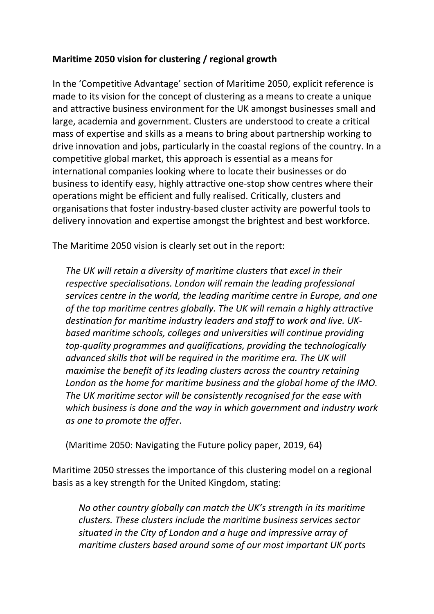## **Maritime 2050 vision for clustering / regional growth**

In the 'Competitive Advantage' section of Maritime 2050, explicit reference is made to its vision for the concept of clustering as a means to create a unique and attractive business environment for the UK amongst businesses small and large, academia and government. Clusters are understood to create a critical mass of expertise and skills as a means to bring about partnership working to drive innovation and jobs, particularly in the coastal regions of the country. In a competitive global market, this approach is essential as a means for international companies looking where to locate their businesses or do business to identify easy, highly attractive one-stop show centres where their operations might be efficient and fully realised. Critically, clusters and organisations that foster industry-based cluster activity are powerful tools to delivery innovation and expertise amongst the brightest and best workforce.

The Maritime 2050 vision is clearly set out in the report:

*The UK will retain a diversity of maritime clusters that excel in their respective specialisations. London will remain the leading professional services centre in the world, the leading maritime centre in Europe, and one of the top maritime centres globally. The UK will remain a highly attractive destination for maritime industry leaders and staff to work and live. UKbased maritime schools, colleges and universities will continue providing top-quality programmes and qualifications, providing the technologically advanced skills that will be required in the maritime era. The UK will maximise the benefit of its leading clusters across the country retaining London as the home for maritime business and the global home of the IMO. The UK maritime sector will be consistently recognised for the ease with which business is done and the way in which government and industry work as one to promote the offer*.

(Maritime 2050: Navigating the Future policy paper, 2019, 64)

Maritime 2050 stresses the importance of this clustering model on a regional basis as a key strength for the United Kingdom, stating:

*No other country globally can match the UK's strength in its maritime clusters. These clusters include the maritime business services sector situated in the City of London and a huge and impressive array of maritime clusters based around some of our most important UK ports*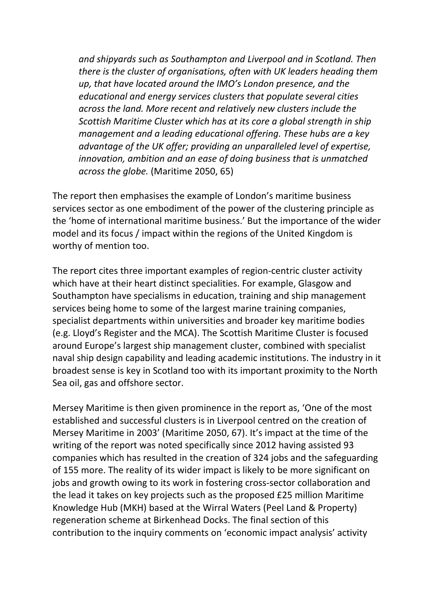*and shipyards such as Southampton and Liverpool and in Scotland. Then there is the cluster of organisations, often with UK leaders heading them up, that have located around the IMO's London presence, and the educational and energy services clusters that populate several cities across the land. More recent and relatively new clusters include the Scottish Maritime Cluster which has at its core a global strength in ship management and a leading educational offering. These hubs are a key advantage of the UK offer; providing an unparalleled level of expertise, innovation, ambition and an ease of doing business that is unmatched across the globe.* (Maritime 2050, 65)

The report then emphasises the example of London's maritime business services sector as one embodiment of the power of the clustering principle as the 'home of international maritime business.' But the importance of the wider model and its focus / impact within the regions of the United Kingdom is worthy of mention too.

The report cites three important examples of region-centric cluster activity which have at their heart distinct specialities. For example, Glasgow and Southampton have specialisms in education, training and ship management services being home to some of the largest marine training companies, specialist departments within universities and broader key maritime bodies (e.g. Lloyd's Register and the MCA). The Scottish Maritime Cluster is focused around Europe's largest ship management cluster, combined with specialist naval ship design capability and leading academic institutions. The industry in it broadest sense is key in Scotland too with its important proximity to the North Sea oil, gas and offshore sector.

Mersey Maritime is then given prominence in the report as, 'One of the most established and successful clusters is in Liverpool centred on the creation of Mersey Maritime in 2003' (Maritime 2050, 67). It's impact at the time of the writing of the report was noted specifically since 2012 having assisted 93 companies which has resulted in the creation of 324 jobs and the safeguarding of 155 more. The reality of its wider impact is likely to be more significant on jobs and growth owing to its work in fostering cross-sector collaboration and the lead it takes on key projects such as the proposed £25 million Maritime Knowledge Hub (MKH) based at the Wirral Waters (Peel Land & Property) regeneration scheme at Birkenhead Docks. The final section of this contribution to the inquiry comments on 'economic impact analysis' activity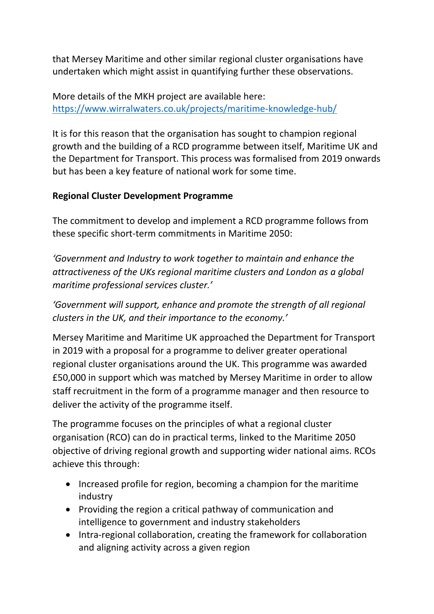that Mersey Maritime and other similar regional cluster organisations have undertaken which might assist in quantifying further these observations.

More details of the MKH project are available here: <https://www.wirralwaters.co.uk/projects/maritime-knowledge-hub/>

It is for this reason that the organisation has sought to champion regional growth and the building of a RCD programme between itself, Maritime UK and the Department for Transport. This process was formalised from 2019 onwards but has been a key feature of national work for some time.

## **Regional Cluster Development Programme**

The commitment to develop and implement a RCD programme follows from these specific short-term commitments in Maritime 2050:

*'Government and Industry to work together to maintain and enhance the attractiveness of the UKs regional maritime clusters and London as a global maritime professional services cluster.'*

*'Government will support, enhance and promote the strength of all regional clusters in the UK, and their importance to the economy.'*

Mersey Maritime and Maritime UK approached the Department for Transport in 2019 with a proposal for a programme to deliver greater operational regional cluster organisations around the UK. This programme was awarded £50,000 in support which was matched by Mersey Maritime in order to allow staff recruitment in the form of a programme manager and then resource to deliver the activity of the programme itself.

The programme focuses on the principles of what a regional cluster organisation (RCO) can do in practical terms, linked to the Maritime 2050 objective of driving regional growth and supporting wider national aims. RCOs achieve this through:

- Increased profile for region, becoming a champion for the maritime industry
- Providing the region a critical pathway of communication and intelligence to government and industry stakeholders
- Intra-regional collaboration, creating the framework for collaboration and aligning activity across a given region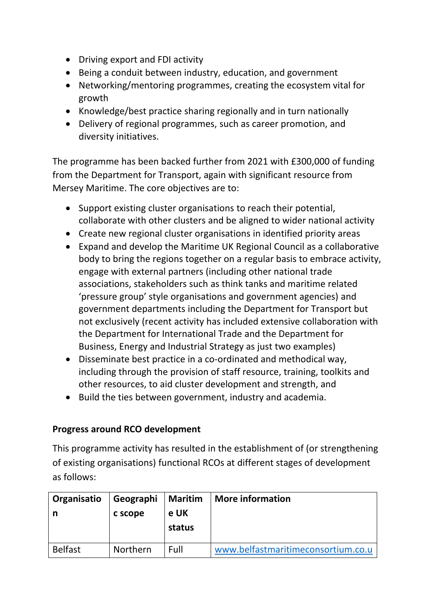- Driving export and FDI activity
- Being a conduit between industry, education, and government
- Networking/mentoring programmes, creating the ecosystem vital for growth
- Knowledge/best practice sharing regionally and in turn nationally
- Delivery of regional programmes, such as career promotion, and diversity initiatives.

The programme has been backed further from 2021 with £300,000 of funding from the Department for Transport, again with significant resource from Mersey Maritime. The core objectives are to:

- Support existing cluster organisations to reach their potential, collaborate with other clusters and be aligned to wider national activity
- Create new regional cluster organisations in identified priority areas
- Expand and develop the Maritime UK Regional Council as a collaborative body to bring the regions together on a regular basis to embrace activity, engage with external partners (including other national trade associations, stakeholders such as think tanks and maritime related 'pressure group' style organisations and government agencies) and government departments including the Department for Transport but not exclusively (recent activity has included extensive collaboration with the Department for International Trade and the Department for Business, Energy and Industrial Strategy as just two examples)
- Disseminate best practice in a co-ordinated and methodical way, including through the provision of staff resource, training, toolkits and other resources, to aid cluster development and strength, and
- Build the ties between government, industry and academia.

## **Progress around RCO development**

This programme activity has resulted in the establishment of (or strengthening of existing organisations) functional RCOs at different stages of development as follows:

| Organisatio<br>n | Geographi<br>c scope | <b>Maritim</b><br>e UK<br>status | <b>More information</b>            |
|------------------|----------------------|----------------------------------|------------------------------------|
| <b>Belfast</b>   | Northern             | Full                             | www.belfastmaritimeconsortium.co.u |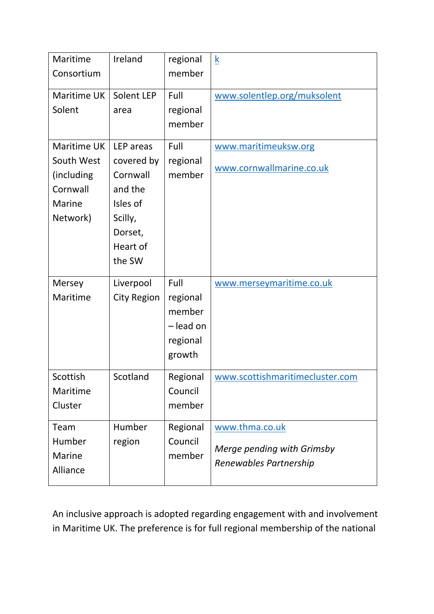| Maritime<br>Consortium                                                    | Ireland                                                                                                | regional<br>member                                            | $\underline{k}$                                                        |
|---------------------------------------------------------------------------|--------------------------------------------------------------------------------------------------------|---------------------------------------------------------------|------------------------------------------------------------------------|
| Maritime UK<br>Solent                                                     | Solent LEP<br>area                                                                                     | Full<br>regional<br>member                                    | www.solentlep.org/muksolent                                            |
| Maritime UK<br>South West<br>(including<br>Cornwall<br>Marine<br>Network) | LEP areas<br>covered by<br>Cornwall<br>and the<br>Isles of<br>Scilly,<br>Dorset,<br>Heart of<br>the SW | Full<br>regional<br>member                                    | www.maritimeuksw.org<br>www.cornwallmarine.co.uk                       |
| Mersey<br>Maritime                                                        | Liverpool<br><b>City Region</b>                                                                        | Full<br>regional<br>member<br>- lead on<br>regional<br>growth | www.merseymaritime.co.uk                                               |
| Scottish<br>Maritime<br>Cluster                                           | Scotland                                                                                               | Regional<br>Council<br>member                                 | www.scottishmaritimecluster.com                                        |
| Team<br>Humber<br><b>Marine</b><br>Alliance                               | Humber<br>region                                                                                       | Regional<br>Council<br>member                                 | www.thma.co.uk<br>Merge pending with Grimsby<br>Renewables Partnership |

An inclusive approach is adopted regarding engagement with and involvement in Maritime UK. The preference is for full regional membership of the national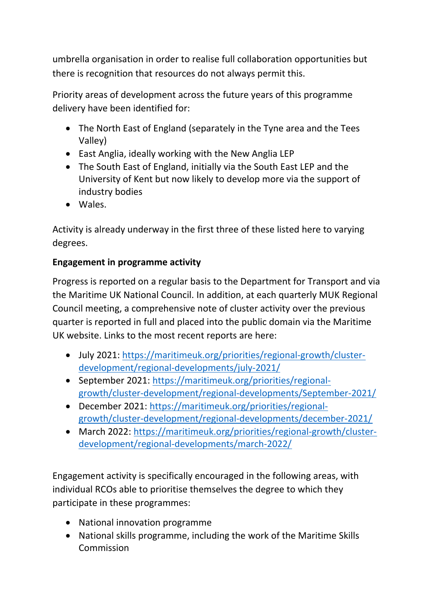umbrella organisation in order to realise full collaboration opportunities but there is recognition that resources do not always permit this.

Priority areas of development across the future years of this programme delivery have been identified for:

- The North East of England (separately in the Tyne area and the Tees Valley)
- East Anglia, ideally working with the New Anglia LEP
- The South East of England, initially via the South East LEP and the University of Kent but now likely to develop more via the support of industry bodies
- Wales.

Activity is already underway in the first three of these listed here to varying degrees.

# **Engagement in programme activity**

Progress is reported on a regular basis to the Department for Transport and via the Maritime UK National Council. In addition, at each quarterly MUK Regional Council meeting, a comprehensive note of cluster activity over the previous quarter is reported in full and placed into the public domain via the Maritime UK website. Links to the most recent reports are here:

- July 2021: [https://maritimeuk.org/priorities/regional-growth/cluster](https://maritimeuk.org/priorities/regional-growth/cluster-development/regional-developments/july-2021/)[development/regional-developments/july-2021/](https://maritimeuk.org/priorities/regional-growth/cluster-development/regional-developments/july-2021/)
- September 2021: [https://maritimeuk.org/priorities/regional](https://maritimeuk.org/priorities/regional-growth/cluster-development/regional-developments/September-2021/)[growth/cluster-development/regional-developments/September-2021/](https://maritimeuk.org/priorities/regional-growth/cluster-development/regional-developments/September-2021/)
- December 2021: [https://maritimeuk.org/priorities/regional](https://maritimeuk.org/priorities/regional-growth/cluster-development/regional-developments/december-2021/)[growth/cluster-development/regional-developments/december-2021/](https://maritimeuk.org/priorities/regional-growth/cluster-development/regional-developments/december-2021/)
- March 2022: [https://maritimeuk.org/priorities/regional-growth/cluster](https://maritimeuk.org/priorities/regional-growth/cluster-development/regional-developments/march-2022/)[development/regional-developments/march-2022/](https://maritimeuk.org/priorities/regional-growth/cluster-development/regional-developments/march-2022/)

Engagement activity is specifically encouraged in the following areas, with individual RCOs able to prioritise themselves the degree to which they participate in these programmes:

- National innovation programme
- National skills programme, including the work of the Maritime Skills Commission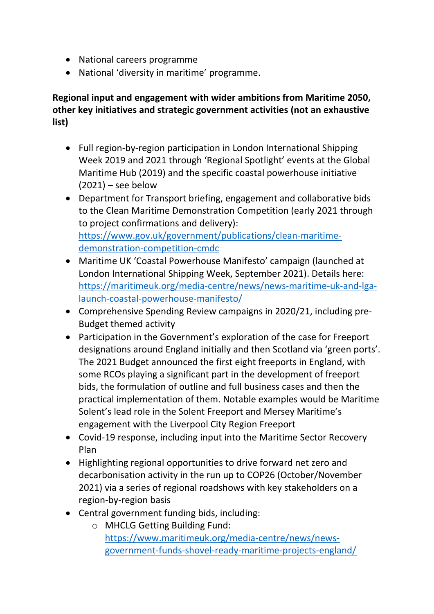- National careers programme
- National 'diversity in maritime' programme.

**Regional input and engagement with wider ambitions from Maritime 2050, other key initiatives and strategic government activities (not an exhaustive list)**

- Full region-by-region participation in London International Shipping Week 2019 and 2021 through 'Regional Spotlight' events at the Global Maritime Hub (2019) and the specific coastal powerhouse initiative  $(2021)$  – see below
- Department for Transport briefing, engagement and collaborative bids to the Clean Maritime Demonstration Competition (early 2021 through to project confirmations and delivery): [https://www.gov.uk/government/publications/clean-maritime](https://www.gov.uk/government/publications/clean-maritime-demonstration-competition-cmdc)[demonstration-competition-cmdc](https://www.gov.uk/government/publications/clean-maritime-demonstration-competition-cmdc)
- Maritime UK 'Coastal Powerhouse Manifesto' campaign (launched at London International Shipping Week, September 2021). Details here: [https://maritimeuk.org/media-centre/news/news-maritime-uk-and-lga](https://maritimeuk.org/media-centre/news/news-maritime-uk-and-lga-launch-coastal-powerhouse-manifesto/)[launch-coastal-powerhouse-manifesto/](https://maritimeuk.org/media-centre/news/news-maritime-uk-and-lga-launch-coastal-powerhouse-manifesto/)
- Comprehensive Spending Review campaigns in 2020/21, including pre-Budget themed activity
- Participation in the Government's exploration of the case for Freeport designations around England initially and then Scotland via 'green ports'. The 2021 Budget announced the first eight freeports in England, with some RCOs playing a significant part in the development of freeport bids, the formulation of outline and full business cases and then the practical implementation of them. Notable examples would be Maritime Solent's lead role in the Solent Freeport and Mersey Maritime's engagement with the Liverpool City Region Freeport
- Covid-19 response, including input into the Maritime Sector Recovery Plan
- Highlighting regional opportunities to drive forward net zero and decarbonisation activity in the run up to COP26 (October/November 2021) via a series of regional roadshows with key stakeholders on a region-by-region basis
- Central government funding bids, including:
	- o MHCLG Getting Building Fund: [https://www.maritimeuk.org/media-centre/news/news](https://www.maritimeuk.org/media-centre/news/news-government-funds-shovel-ready-maritime-projects-england/)[government-funds-shovel-ready-maritime-projects-england/](https://www.maritimeuk.org/media-centre/news/news-government-funds-shovel-ready-maritime-projects-england/)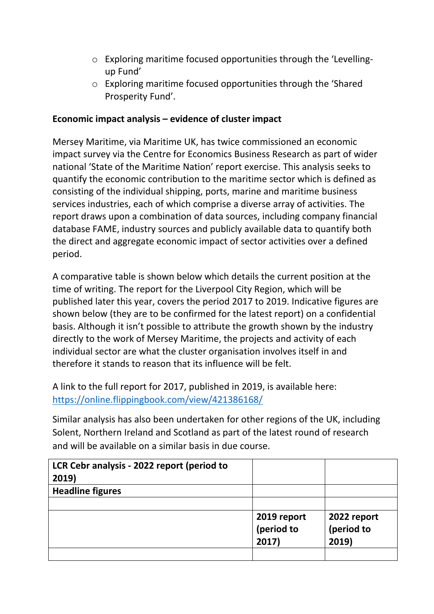- o Exploring maritime focused opportunities through the 'Levellingup Fund'
- o Exploring maritime focused opportunities through the 'Shared Prosperity Fund'.

#### **Economic impact analysis – evidence of cluster impact**

Mersey Maritime, via Maritime UK, has twice commissioned an economic impact survey via the Centre for Economics Business Research as part of wider national 'State of the Maritime Nation' report exercise. This analysis seeks to quantify the economic contribution to the maritime sector which is defined as consisting of the individual shipping, ports, marine and maritime business services industries, each of which comprise a diverse array of activities. The report draws upon a combination of data sources, including company financial database FAME, industry sources and publicly available data to quantify both the direct and aggregate economic impact of sector activities over a defined period.

A comparative table is shown below which details the current position at the time of writing. The report for the Liverpool City Region, which will be published later this year, covers the period 2017 to 2019. Indicative figures are shown below (they are to be confirmed for the latest report) on a confidential basis. Although it isn't possible to attribute the growth shown by the industry directly to the work of Mersey Maritime, the projects and activity of each individual sector are what the cluster organisation involves itself in and therefore it stands to reason that its influence will be felt.

A link to the full report for 2017, published in 2019, is available here: <https://online.flippingbook.com/view/421386168/>

Similar analysis has also been undertaken for other regions of the UK, including Solent, Northern Ireland and Scotland as part of the latest round of research and will be available on a similar basis in due course.

| LCR Cebr analysis - 2022 report (period to<br>2019) |             |             |
|-----------------------------------------------------|-------------|-------------|
| <b>Headline figures</b>                             |             |             |
|                                                     |             |             |
|                                                     | 2019 report | 2022 report |
|                                                     | (period to  | (period to  |
|                                                     | 2017)       | 2019)       |
|                                                     |             |             |